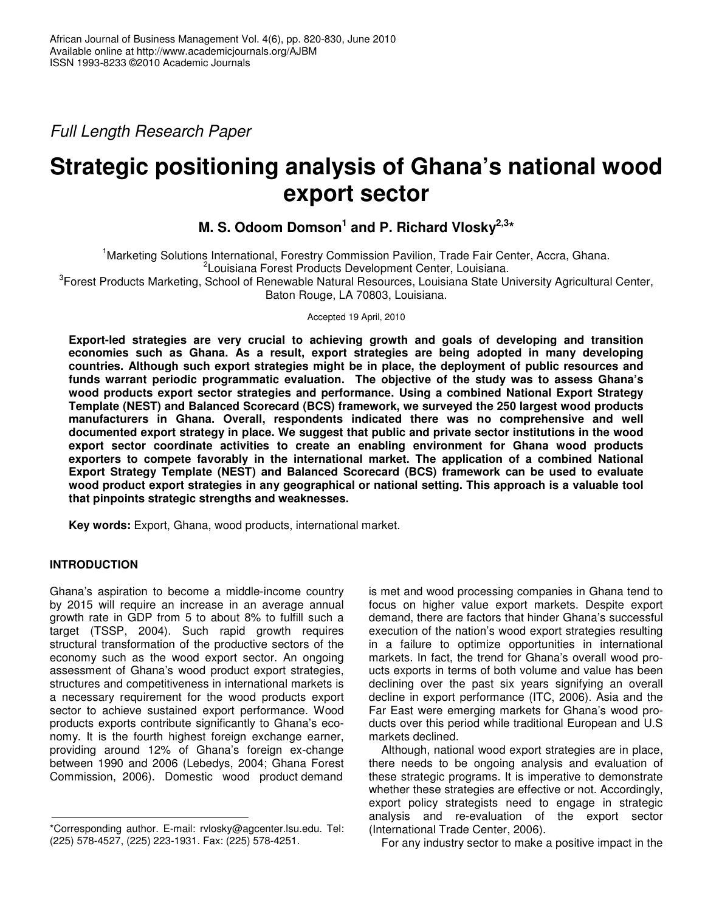*Full Length Research Paper*

# **Strategic positioning analysis of Ghana's national wood export sector**

# **M. S. Odoom Domson 1 and P. Richard Vlosky 2,3 \***

<sup>1</sup>Marketing Solutions International, Forestry Commission Pavilion, Trade Fair Center, Accra, Ghana. 2 Louisiana Forest Products Development Center, Louisiana. <sup>3</sup>Forest Products Marketing, School of Renewable Natural Resources, Louisiana State University Agricultural Center, Baton Rouge, LA 70803, Louisiana.

Accepted 19 April, 2010

**Export-led strategies are very crucial to achieving growth and goals of developing and transition economies such as Ghana. As a result, export strategies are being adopted in many developing countries. Although such export strategies might be in place, the deployment of public resources and funds warrant periodic programmatic evaluation. The objective of the study was to assess Ghana's wood products export sector strategies and performance. Using a combined National Export Strategy Template (NEST) and Balanced Scorecard (BCS) framework, we surveyed the 250 largest wood products manufacturers in Ghana. Overall, respondents indicated there was no comprehensive and well documented export strategy in place. We suggest that public and private sector institutions in the wood export sector coordinate activities to create an enabling environment for Ghana wood products exporters to compete favorably in the international market. The application of a combined National Export Strategy Template (NEST) and Balanced Scorecard (BCS) framework can be used to evaluate wood product export strategies in any geographical or national setting. This approach is a valuable tool that pinpoints strategic strengths and weaknesses.**

**Key words:** Export, Ghana, wood products, international market.

# **INTRODUCTION**

Ghana's aspiration to become a middle-income country by 2015 will require an increase in an average annual growth rate in GDP from 5 to about 8% to fulfill such a target (TSSP, 2004). Such rapid growth requires structural transformation of the productive sectors of the economy such as the wood export sector. An ongoing assessment of Ghana's wood product export strategies, structures and competitiveness in international markets is a necessary requirement for the wood products export sector to achieve sustained export performance. Wood products exports contribute significantly to Ghana's economy. It is the fourth highest foreign exchange earner, providing around 12% of Ghana's foreign ex-change between 1990 and 2006 (Lebedys, 2004; Ghana Forest Commission, 2006). Domestic wood product demand

is met and wood processing companies in Ghana tend to focus on higher value export markets. Despite export demand, there are factors that hinder Ghana's successful execution of the nation's wood export strategies resulting in a failure to optimize opportunities in international markets. In fact, the trend for Ghana's overall wood proucts exports in terms of both volume and value has been declining over the past six years signifying an overall decline in export performance (ITC, 2006). Asia and the Far East were emerging markets for Ghana's wood products over this period while traditional European and U.S markets declined.

Although, national wood export strategies are in place, there needs to be ongoing analysis and evaluation of these strategic programs. It is imperative to demonstrate whether these strategies are effective or not. Accordingly, export policy strategists need to engage in strategic analysis and re-evaluation of the export sector (International Trade Center, 2006).

For any industry sector to make a positive impact in the

<sup>\*</sup>Corresponding author. E-mail: rvlosky@agcenter.lsu.edu. Tel: (225) 578-4527, (225) 223-1931. Fax: (225) 578-4251.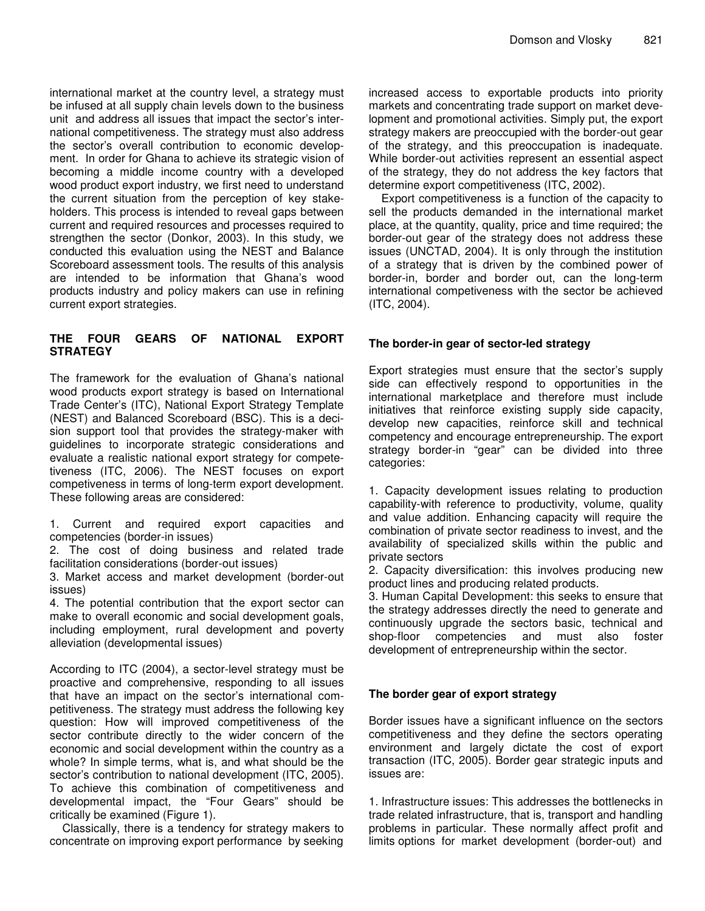international market at the country level, a strategy must be infused at all supply chain levels down to the business unit and address all issues that impact the sector's international competitiveness. The strategy must also address the sector's overall contribution to economic development. In order for Ghana to achieve its strategic vision of becoming a middle income country with a developed wood product export industry, we first need to understand the current situation from the perception of key stakeholders. This process is intended to reveal gaps between current and required resources and processes required to strengthen the sector (Donkor, 2003). In this study, we conducted this evaluation using the NEST and Balance Scoreboard assessment tools. The results of this analysis are intended to be information that Ghana's wood products industry and policy makers can use in refining current export strategies.

# **THE FOUR GEARS OF NATIONAL EXPORT STRATEGY**

The framework for the evaluation of Ghana's national wood products export strategy is based on International Trade Center's (ITC), National Export Strategy Template (NEST) and Balanced Scoreboard (BSC). This is a decision support tool that provides the strategy-maker with guidelines to incorporate strategic considerations and evaluate a realistic national export strategy for competetiveness (ITC, 2006). The NEST focuses on export competiveness in terms of long-term export development. These following areas are considered:

1. Current and required export capacities and competencies (border-in issues)

2. The cost of doing business and related trade facilitation considerations (border-out issues)

3. Market access and market development (border-out issues)

4. The potential contribution that the export sector can make to overall economic and social development goals, including employment, rural development and poverty alleviation (developmental issues)

According to ITC (2004), a sector-level strategy must be proactive and comprehensive, responding to all issues that have an impact on the sector's international competitiveness. The strategy must address the following key question: How will improved competitiveness of the sector contribute directly to the wider concern of the economic and social development within the country as a whole? In simple terms, what is, and what should be the sector's contribution to national development (ITC, 2005). To achieve this combination of competitiveness and developmental impact, the "Four Gears" should be critically be examined (Figure 1).

Classically, there is a tendency for strategy makers to concentrate on improving export performance by seeking increased access to exportable products into priority markets and concentrating trade support on market development and promotional activities. Simply put, the export strategy makers are preoccupied with the border-out gear of the strategy, and this preoccupation is inadequate. While border-out activities represent an essential aspect of the strategy, they do not address the key factors that determine export competitiveness (ITC, 2002).

Export competitiveness is a function of the capacity to sell the products demanded in the international market place, at the quantity, quality, price and time required; the border-out gear of the strategy does not address these issues (UNCTAD, 2004). It is only through the institution of a strategy that is driven by the combined power of border-in, border and border out, can the long-term international competiveness with the sector be achieved (ITC, 2004).

# **The border-in gear of sector-led strategy**

Export strategies must ensure that the sector's supply side can effectively respond to opportunities in the international marketplace and therefore must include initiatives that reinforce existing supply side capacity, develop new capacities, reinforce skill and technical competency and encourage entrepreneurship. The export strategy border-in "gear" can be divided into three categories:

1. Capacity development issues relating to production capability-with reference to productivity, volume, quality and value addition. Enhancing capacity will require the combination of private sector readiness to invest, and the availability of specialized skills within the public and private sectors

2. Capacity diversification: this involves producing new product lines and producing related products.

3. Human Capital Development: this seeks to ensure that the strategy addresses directly the need to generate and continuously upgrade the sectors basic, technical and shop-floor competencies and must also foster development of entrepreneurship within the sector.

# **The border gear of export strategy**

Border issues have a significant influence on the sectors competitiveness and they define the sectors operating environment and largely dictate the cost of export transaction (ITC, 2005). Border gear strategic inputs and issues are:

1. Infrastructure issues: This addresses the bottlenecks in trade related infrastructure, that is, transport and handling problems in particular. These normally affect profit and limits options for market development (border-out) and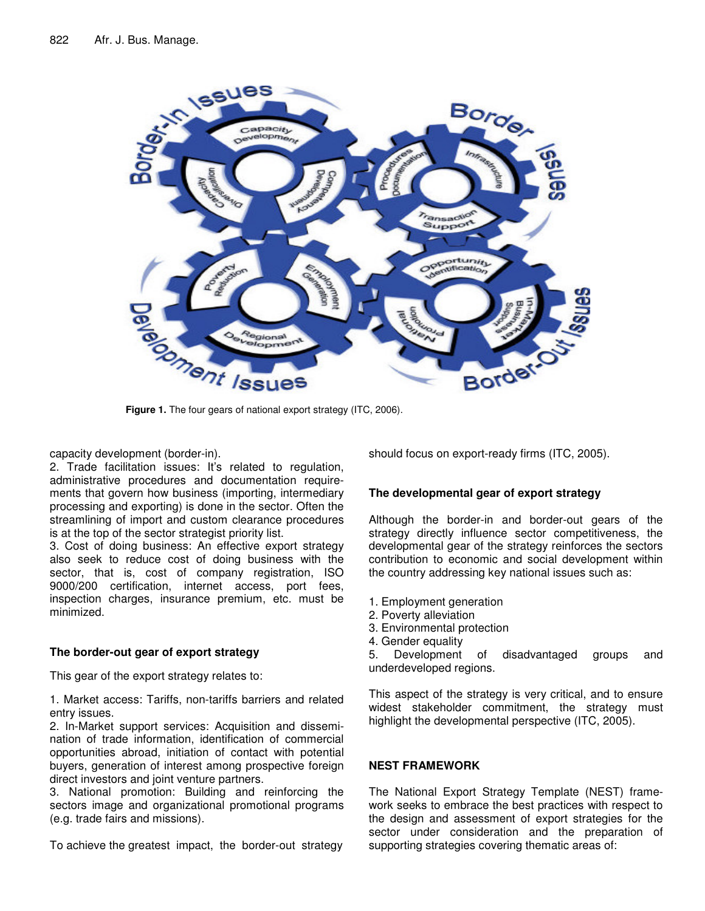

capacity development (border-in).

2. Trade facilitation issues: It's related to regulation, administrative procedures and documentation requirements that govern how business (importing, intermediary processing and exporting) is done in the sector. Often the streamlining of import and custom clearance procedures is at the top of the sector strategist priority list.

3. Cost of doing business: An effective export strategy also seek to reduce cost of doing business with the sector, that is, cost of company registration, ISO 9000/200 certification, internet access, port fees, inspection charges, insurance premium, etc. must be minimized.

#### **The border-out gear of export strategy**

This gear of the export strategy relates to:

1. Market access: Tariffs, non-tariffs barriers and related entry issues.

2. In-Market support services: Acquisition and dissemination of trade information, identification of commercial opportunities abroad, initiation of contact with potential buyers, generation of interest among prospective foreign direct investors and joint venture partners.

3. National promotion: Building and reinforcing the sectors image and organizational promotional programs (e.g. trade fairs and missions).

To achieve the greatest impact, the border-out strategy

should focus on export-ready firms (ITC, 2005).

# **The developmental gear of export strategy**

Although the border-in and border-out gears of the strategy directly influence sector competitiveness, the developmental gear of the strategy reinforces the sectors contribution to economic and social development within the country addressing key national issues such as:

- 1. Employment generation
- 2. Poverty alleviation
- 3. Environmental protection
- 4. Gender equality

5. Development of disadvantaged groups and underdeveloped regions.

This aspect of the strategy is very critical, and to ensure widest stakeholder commitment, the strategy must highlight the developmental perspective (ITC, 2005).

# **NEST FRAMEWORK**

The National Export Strategy Template (NEST) framework seeks to embrace the best practices with respect to the design and assessment of export strategies for the sector under consideration and the preparation of supporting strategies covering thematic areas of: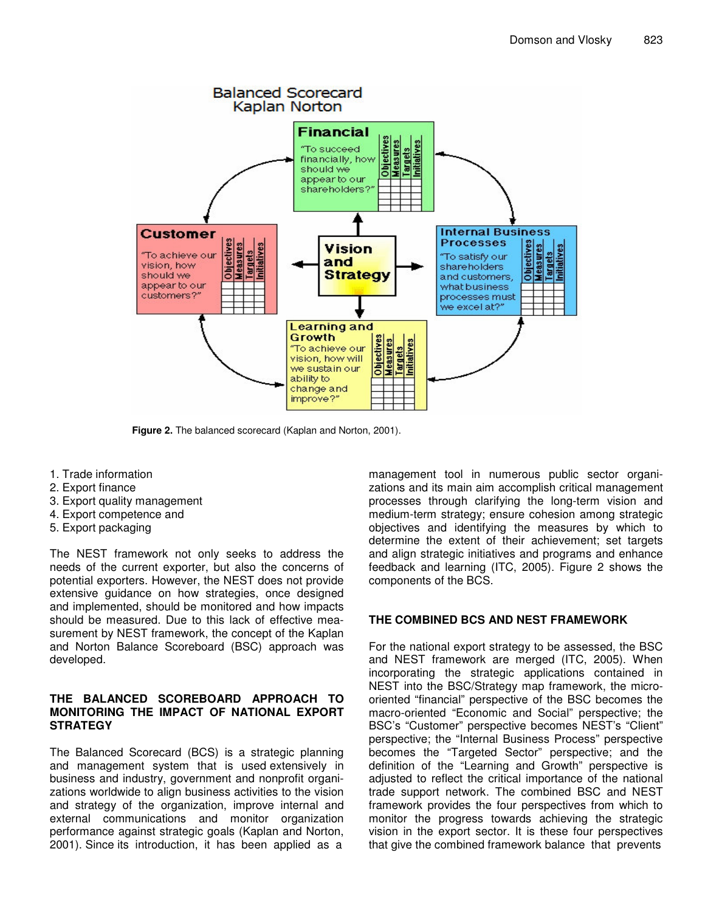

**Figure 2.** The balanced scorecard (Kaplan and Norton, 2001).

- 1. Trade information
- 2. Export finance
- 3. Export quality management
- 4. Export competence and
- 5. Export packaging

The NEST framework not only seeks to address the needs of the current exporter, but also the concerns of potential exporters. However, the NEST does not provide extensive guidance on how strategies, once designed and implemented, should be monitored and how impacts should be measured. Due to this lack of effective measurement by NEST framework, the concept of the Kaplan and Norton Balance Scoreboard (BSC) approach was developed.

#### **THE BALANCED SCOREBOARD APPROACH TO MONITORING THE IMPACT OF NATIONAL EXPORT STRATEGY**

The Balanced Scorecard (BCS) is a strategic planning and management system that is used extensively in business and industry, government and nonprofit organizations worldwide to align business activities to the vision and strategy of the organization, improve internal and external communications and monitor organization performance against strategic goals (Kaplan and Norton, 2001). Since its introduction, it has been applied as a

management tool in numerous public sector organizations and its main aim accomplish critical management processes through clarifying the long-term vision and medium-term strategy; ensure cohesion among strategic objectives and identifying the measures by which to determine the extent of their achievement; set targets and align strategic initiatives and programs and enhance feedback and learning (ITC, 2005). Figure 2 shows the components of the BCS.

# **THE COMBINED BCS AND NEST FRAMEWORK**

For the national export strategy to be assessed, the BSC and NEST framework are merged (ITC, 2005). When incorporating the strategic applications contained in NEST into the BSC/Strategy map framework, the microoriented "financial" perspective of the BSC becomes the macro-oriented "Economic and Social" perspective; the BSC's "Customer" perspective becomes NEST's "Client" perspective; the "Internal Business Process" perspective becomes the "Targeted Sector" perspective; and the definition of the "Learning and Growth" perspective is adjusted to reflect the critical importance of the national trade support network. The combined BSC and NEST framework provides the four perspectives from which to monitor the progress towards achieving the strategic vision in the export sector. It is these four perspectives that give the combined framework balance that prevents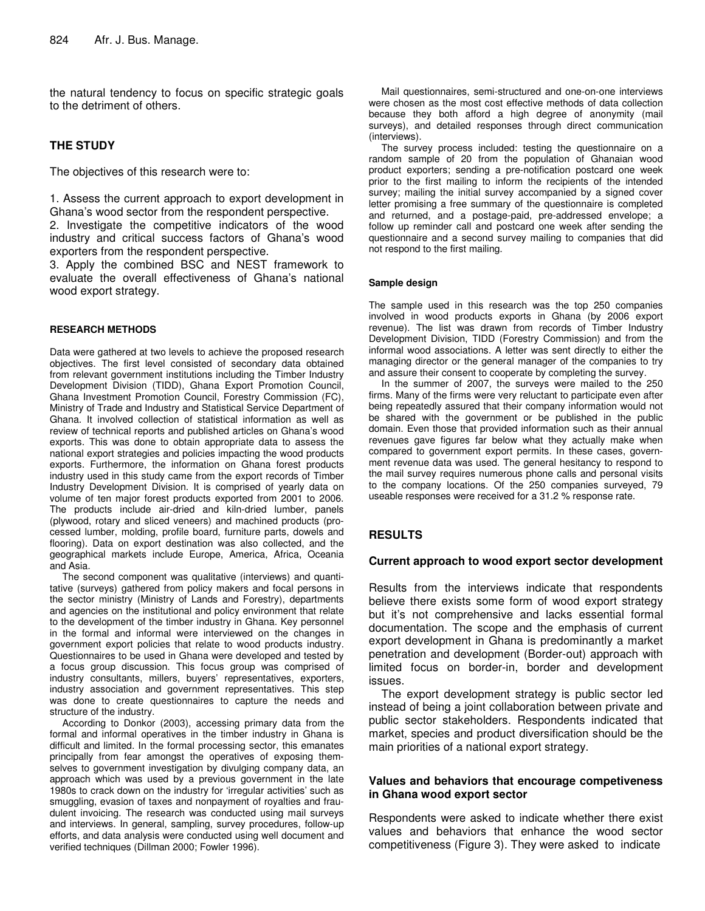the natural tendency to focus on specific strategic goals to the detriment of others.

#### **THE STUDY**

The objectives of this research were to:

1. Assess the current approach to export development in Ghana's wood sector from the respondent perspective.

2. Investigate the competitive indicators of the wood industry and critical success factors of Ghana's wood exporters from the respondent perspective.

3. Apply the combined BSC and NEST framework to evaluate the overall effectiveness of Ghana's national wood export strategy.

#### **RESEARCH METHODS**

Data were gathered at two levels to achieve the proposed research objectives. The first level consisted of secondary data obtained from relevant government institutions including the Timber Industry Development Division (TIDD), Ghana Export Promotion Council, Ghana Investment Promotion Council, Forestry Commission (FC), Ministry of Trade and Industry and Statistical Service Department of Ghana. It involved collection of statistical information as well as review of technical reports and published articles on Ghana's wood exports. This was done to obtain appropriate data to assess the national export strategies and policies impacting the wood products exports. Furthermore, the information on Ghana forest products industry used in this study came from the export records of Timber Industry Development Division. It is comprised of yearly data on volume of ten major forest products exported from 2001 to 2006. The products include air-dried and kiln-dried lumber, panels (plywood, rotary and sliced veneers) and machined products (processed lumber, molding, profile board, furniture parts, dowels and flooring). Data on export destination was also collected, and the geographical markets include Europe, America, Africa, Oceania and Asia.

The second component was qualitative (interviews) and quantitative (surveys) gathered from policy makers and focal persons in the sector ministry (Ministry of Lands and Forestry), departments and agencies on the institutional and policy environment that relate to the development of the timber industry in Ghana. Key personnel in the formal and informal were interviewed on the changes in government export policies that relate to wood products industry. Questionnaires to be used in Ghana were developed and tested by a focus group discussion. This focus group was comprised of industry consultants, millers, buyers' representatives, exporters, industry association and government representatives. This step was done to create questionnaires to capture the needs and structure of the industry.

According to Donkor (2003), accessing primary data from the formal and informal operatives in the timber industry in Ghana is difficult and limited. In the formal processing sector, this emanates principally from fear amongst the operatives of exposing themselves to government investigation by divulging company data, an approach which was used by a previous government in the late 1980s to crack down on the industry for 'irregular activities' such as smuggling, evasion of taxes and nonpayment of royalties and fraudulent invoicing. The research was conducted using mail surveys and interviews. In general, sampling, survey procedures, follow-up efforts, and data analysis were conducted using well document and verified techniques (Dillman 2000; Fowler 1996).

Mail questionnaires, semi-structured and one-on-one interviews were chosen as the most cost effective methods of data collection because they both afford a high degree of anonymity (mail surveys), and detailed responses through direct communication (interviews).

The survey process included: testing the questionnaire on a random sample of 20 from the population of Ghanaian wood product exporters; sending a pre-notification postcard one week prior to the first mailing to inform the recipients of the intended survey; mailing the initial survey accompanied by a signed cover letter promising a free summary of the questionnaire is completed and returned, and a postage-paid, pre-addressed envelope; a follow up reminder call and postcard one week after sending the questionnaire and a second survey mailing to companies that did not respond to the first mailing.

#### **Sample design**

The sample used in this research was the top 250 companies involved in wood products exports in Ghana (by 2006 export revenue). The list was drawn from records of Timber Industry Development Division, TIDD (Forestry Commission) and from the informal wood associations. A letter was sent directly to either the managing director or the general manager of the companies to try and assure their consent to cooperate by completing the survey.

In the summer of 2007, the surveys were mailed to the 250 firms. Many of the firms were very reluctant to participate even after being repeatedly assured that their company information would not be shared with the government or be published in the public domain. Even those that provided information such as their annual revenues gave figures far below what they actually make when compared to government export permits. In these cases, government revenue data was used. The general hesitancy to respond to the mail survey requires numerous phone calls and personal visits to the company locations. Of the 250 companies surveyed, 79 useable responses were received for a 31.2 % response rate.

#### **RESULTS**

#### **Current approach to wood export sector development**

Results from the interviews indicate that respondents believe there exists some form of wood export strategy but it's not comprehensive and lacks essential formal documentation. The scope and the emphasis of current export development in Ghana is predominantly a market penetration and development (Border-out) approach with limited focus on border-in, border and development issues.

The export development strategy is public sector led instead of being a joint collaboration between private and public sector stakeholders. Respondents indicated that market, species and product diversification should be the main priorities of a national export strategy.

#### **Values and behaviors that encourage competiveness in Ghana wood export sector**

Respondents were asked to indicate whether there exist values and behaviors that enhance the wood sector competitiveness (Figure 3). They were asked to indicate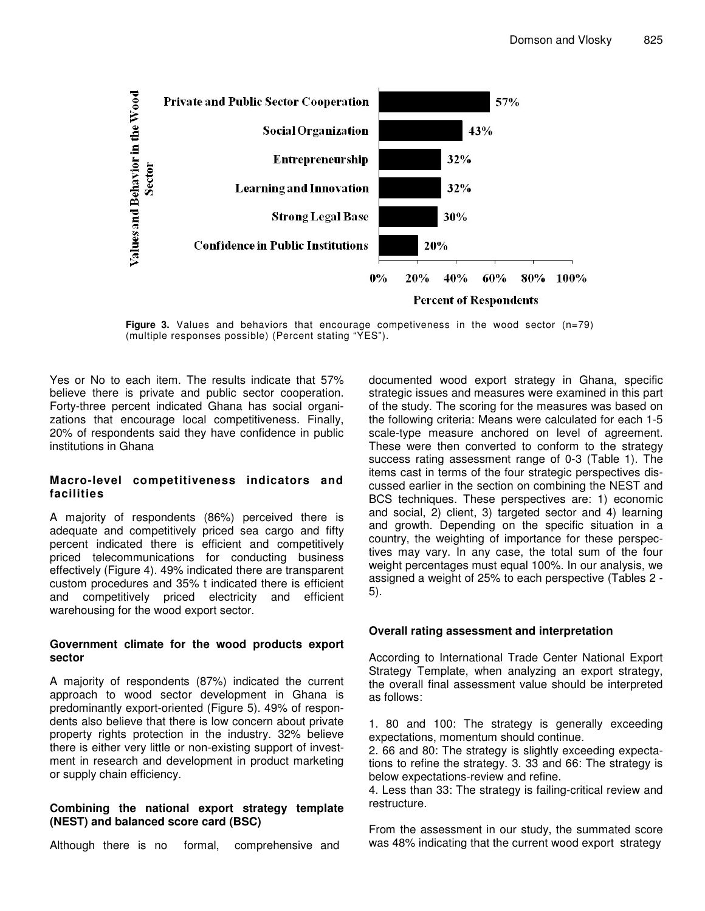

**Figure 3.** Values and behaviors that encourage competiveness in the wood sector (n=79) (multiple responses possible) (Percent stating "YES").

Yes or No to each item. The results indicate that 57% believe there is private and public sector cooperation. Forty-three percent indicated Ghana has social organizations that encourage local competitiveness. Finally, 20% of respondents said they have confidence in public institutions in Ghana

#### **Macro-level competitiveness indicators and facilities**

A majority of respondents (86%) perceived there is adequate and competitively priced sea cargo and fifty percent indicated there is efficient and competitively priced telecommunications for conducting business effectively (Figure 4). 49% indicated there are transparent custom procedures and 35% t indicated there is efficient and competitively priced electricity and efficient warehousing for the wood export sector.

#### **Government climate for the wood products export sector**

A majority of respondents (87%) indicated the current approach to wood sector development in Ghana is predominantly export-oriented (Figure 5). 49% of respondents also believe that there is low concern about private property rights protection in the industry. 32% believe there is either very little or non-existing support of investment in research and development in product marketing or supply chain efficiency.

#### **Combining the national export strategy template (NEST) and balanced score card (BSC)**

Although there is no formal, comprehensive and

documented wood export strategy in Ghana, specific strategic issues and measures were examined in this part of the study. The scoring for the measures was based on the following criteria: Means were calculated for each 1-5 scale-type measure anchored on level of agreement. These were then converted to conform to the strategy success rating assessment range of 0-3 (Table 1). The items cast in terms of the four strategic perspectives discussed earlier in the section on combining the NEST and BCS techniques. These perspectives are: 1) economic and social, 2) client, 3) targeted sector and 4) learning and growth. Depending on the specific situation in a country, the weighting of importance for these perspectives may vary. In any case, the total sum of the four weight percentages must equal 100%. In our analysis, we assigned a weight of 25% to each perspective (Tables 2 - 5).

# **Overall rating assessment and interpretation**

According to International Trade Center National Export Strategy Template, when analyzing an export strategy, the overall final assessment value should be interpreted as follows:

1. 80 and 100: The strategy is generally exceeding expectations, momentum should continue.

2. 66 and 80: The strategy is slightly exceeding expectations to refine the strategy. 3. 33 and 66: The strategy is below expectations-review and refine.

4. Less than 33: The strategy is failing-critical review and restructure.

From the assessment in our study, the summated score was 48% indicating that the current wood export strategy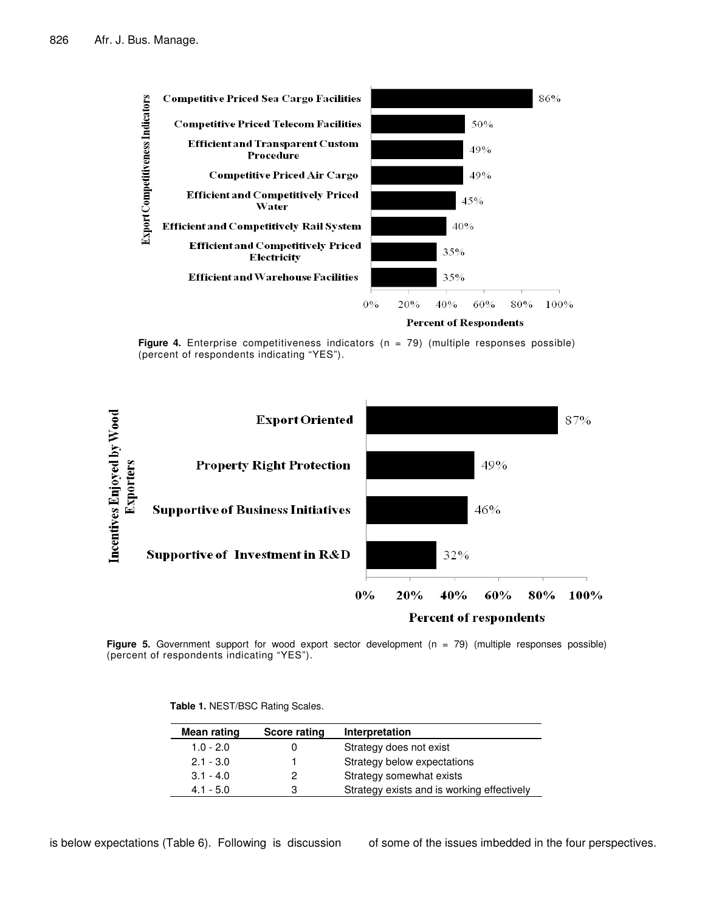

**Figure 4.** Enterprise competitiveness indicators (n = 79) (multiple responses possible) (percent of respondents indicating "YES").



**Figure 5.** Government support for wood export sector development (n = 79) (multiple responses possible) (percent of respondents indicating "YES").

**Table 1.** NEST/BSC Rating Scales.

| Mean rating | Score rating | Interpretation                             |
|-------------|--------------|--------------------------------------------|
| $1.0 - 2.0$ |              | Strategy does not exist                    |
| $2.1 - 3.0$ |              | Strategy below expectations                |
| $3.1 - 4.0$ | 2            | Strategy somewhat exists                   |
| $4.1 - 5.0$ | 3            | Strategy exists and is working effectively |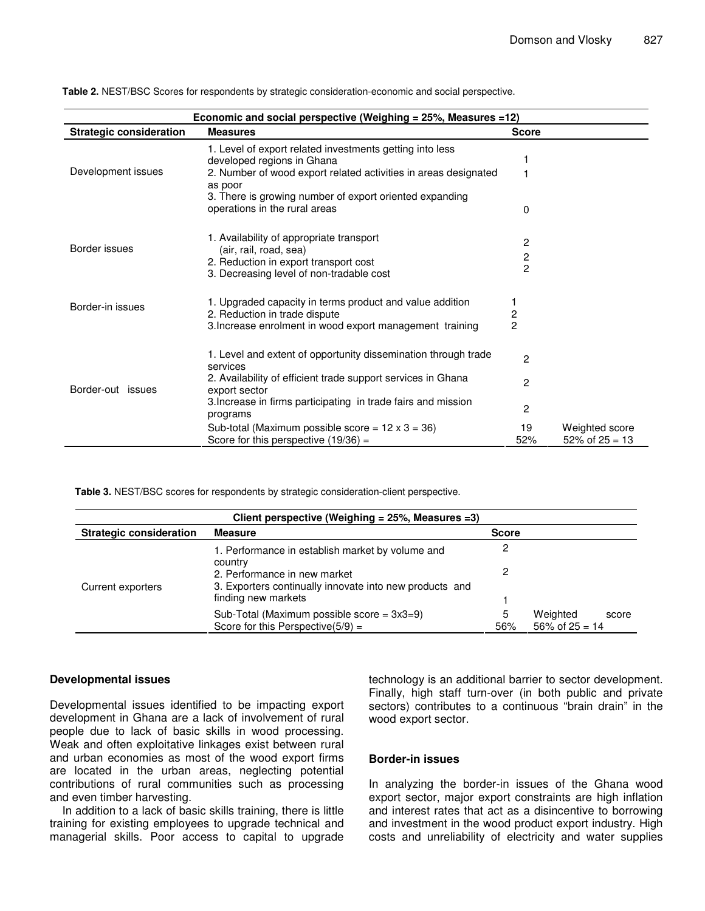| Economic and social perspective (Weighing = 25%, Measures =12) |                                                                                                    |                |                                       |
|----------------------------------------------------------------|----------------------------------------------------------------------------------------------------|----------------|---------------------------------------|
| <b>Strategic consideration</b>                                 | <b>Measures</b>                                                                                    | <b>Score</b>   |                                       |
|                                                                | 1. Level of export related investments getting into less<br>developed regions in Ghana             |                |                                       |
| Development issues                                             | 2. Number of wood export related activities in areas designated<br>as poor                         |                |                                       |
|                                                                | 3. There is growing number of export oriented expanding<br>operations in the rural areas           | 0              |                                       |
| Border issues                                                  | 1. Availability of appropriate transport                                                           | 2              |                                       |
|                                                                | (air, rail, road, sea)<br>2. Reduction in export transport cost                                    | 2              |                                       |
|                                                                | 3. Decreasing level of non-tradable cost                                                           | $\overline{2}$ |                                       |
| Border-in issues                                               | 1. Upgraded capacity in terms product and value addition<br>2. Reduction in trade dispute          | 2              |                                       |
|                                                                | 3. Increase enrolment in wood export management training                                           | $\overline{c}$ |                                       |
|                                                                | 1. Level and extent of opportunity dissemination through trade<br>services                         | $\mathcal{P}$  |                                       |
| Border-out issues                                              | 2. Availability of efficient trade support services in Ghana<br>export sector                      | 2              |                                       |
|                                                                | 3. Increase in firms participating in trade fairs and mission<br>programs                          | $\overline{c}$ |                                       |
|                                                                | Sub-total (Maximum possible score = $12 \times 3 = 36$ )<br>Score for this perspective $(19/36)$ = | 19<br>52%      | Weighted score<br>$52\%$ of $25 = 13$ |

**Table 2.** NEST/BSC Scores for respondents by strategic consideration-economic and social perspective.

**Table 3.** NEST/BSC scores for respondents by strategic consideration-client perspective.

| Client perspective (Weighing = $25\%$ , Measures = 3) |                                                                                         |              |                     |  |
|-------------------------------------------------------|-----------------------------------------------------------------------------------------|--------------|---------------------|--|
| <b>Strategic consideration</b>                        | <b>Measure</b>                                                                          | <b>Score</b> |                     |  |
|                                                       | 1. Performance in establish market by volume and<br>country                             |              |                     |  |
| Current exporters                                     | 2. Performance in new market<br>3. Exporters continually innovate into new products and |              |                     |  |
|                                                       | finding new markets                                                                     |              |                     |  |
|                                                       | Sub-Total (Maximum possible score = $3x3=9$ )                                           |              | Weighted<br>score   |  |
|                                                       | Score for this Perspective $(5/9)$ =                                                    | 56%          | $56\%$ of $25 = 14$ |  |

#### **Developmental issues**

Developmental issues identified to be impacting export development in Ghana are a lack of involvement of rural people due to lack of basic skills in wood processing. Weak and often exploitative linkages exist between rural and urban economies as most of the wood export firms are located in the urban areas, neglecting potential contributions of rural communities such as processing and even timber harvesting.

In addition to a lack of basic skills training, there is little training for existing employees to upgrade technical and managerial skills. Poor access to capital to upgrade

technology is an additional barrier to sector development. Finally, high staff turn-over (in both public and private sectors) contributes to a continuous "brain drain" in the wood export sector.

# **Border-in issues**

In analyzing the border-in issues of the Ghana wood export sector, major export constraints are high inflation and interest rates that act as a disincentive to borrowing and investment in the wood product export industry. High costs and unreliability of electricity and water supplies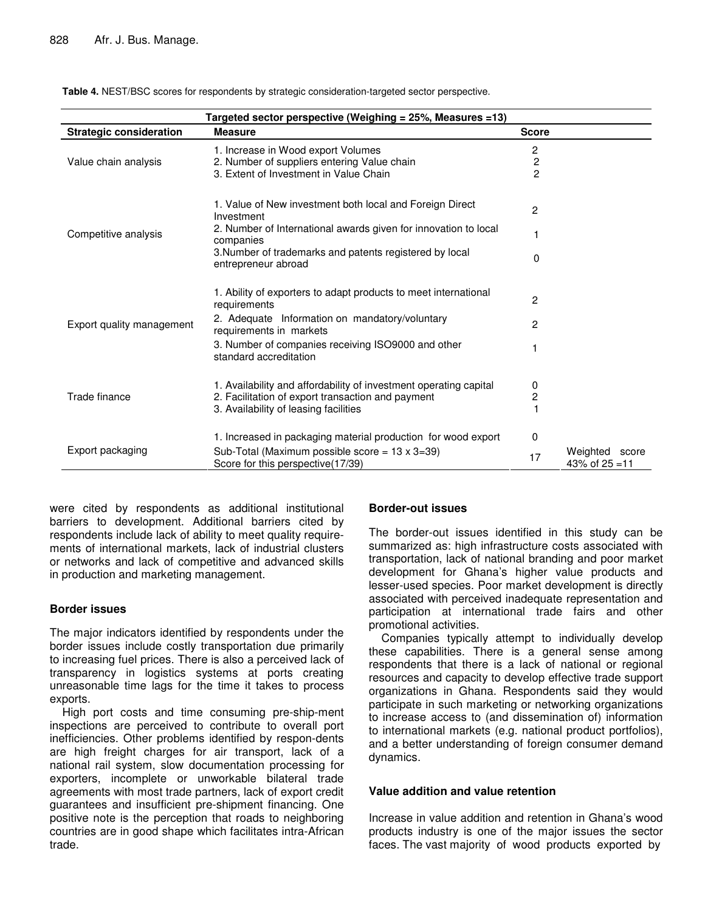| Targeted sector perspective (Weighing = 25%, Measures =13) |                                                                                                                                                                 |                                                             |                                       |
|------------------------------------------------------------|-----------------------------------------------------------------------------------------------------------------------------------------------------------------|-------------------------------------------------------------|---------------------------------------|
| <b>Strategic consideration</b>                             | <b>Measure</b>                                                                                                                                                  | <b>Score</b>                                                |                                       |
| Value chain analysis                                       | 1. Increase in Wood export Volumes<br>2. Number of suppliers entering Value chain<br>3. Extent of Investment in Value Chain                                     | $\overline{c}$<br>$\overline{\mathbf{c}}$<br>$\overline{c}$ |                                       |
|                                                            | 1. Value of New investment both local and Foreign Direct<br>Investment                                                                                          | $\overline{c}$                                              |                                       |
| Competitive analysis                                       | 2. Number of International awards given for innovation to local<br>companies                                                                                    | 1                                                           |                                       |
|                                                            | 3. Number of trademarks and patents registered by local<br>entrepreneur abroad                                                                                  | 0                                                           |                                       |
| Export quality management                                  | 1. Ability of exporters to adapt products to meet international<br>requirements                                                                                 | 2                                                           |                                       |
|                                                            | 2. Adequate Information on mandatory/voluntary<br>requirements in markets                                                                                       | 2                                                           |                                       |
|                                                            | 3. Number of companies receiving ISO9000 and other<br>standard accreditation                                                                                    |                                                             |                                       |
| Trade finance                                              | 1. Availability and affordability of investment operating capital<br>2. Facilitation of export transaction and payment<br>3. Availability of leasing facilities | 0<br>$\overline{\mathbf{c}}$<br>1                           |                                       |
|                                                            | 1. Increased in packaging material production for wood export                                                                                                   | 0                                                           |                                       |
| Export packaging                                           | Sub-Total (Maximum possible score = $13 \times 3 = 39$ )<br>Score for this perspective(17/39)                                                                   | 17                                                          | Weighted<br>score<br>43% of $25 = 11$ |

**Table 4.** NEST/BSC scores for respondents by strategic consideration-targeted sector perspective.

were cited by respondents as additional institutional barriers to development. Additional barriers cited by respondents include lack of ability to meet quality requirements of international markets, lack of industrial clusters or networks and lack of competitive and advanced skills in production and marketing management.

#### **Border issues**

The major indicators identified by respondents under the border issues include costly transportation due primarily to increasing fuel prices. There is also a perceived lack of transparency in logistics systems at ports creating unreasonable time lags for the time it takes to process exports.

High port costs and time consuming pre-ship-ment inspections are perceived to contribute to overall port inefficiencies. Other problems identified by respon-dents are high freight charges for air transport, lack of a national rail system, slow documentation processing for exporters, incomplete or unworkable bilateral trade agreements with most trade partners, lack of export credit guarantees and insufficient pre-shipment financing. One positive note is the perception that roads to neighboring countries are in good shape which facilitates intra-African trade.

#### **Border-out issues**

The border-out issues identified in this study can be summarized as: high infrastructure costs associated with transportation, lack of national branding and poor market development for Ghana's higher value products and lesser-used species. Poor market development is directly associated with perceived inadequate representation and participation at international trade fairs and other promotional activities.

Companies typically attempt to individually develop these capabilities. There is a general sense among respondents that there is a lack of national or regional resources and capacity to develop effective trade support organizations in Ghana. Respondents said they would participate in such marketing or networking organizations to increase access to (and dissemination of) information to international markets (e.g. national product portfolios), and a better understanding of foreign consumer demand dynamics.

# **Value addition and value retention**

Increase in value addition and retention in Ghana's wood products industry is one of the major issues the sector faces. The vast majority of wood products exported by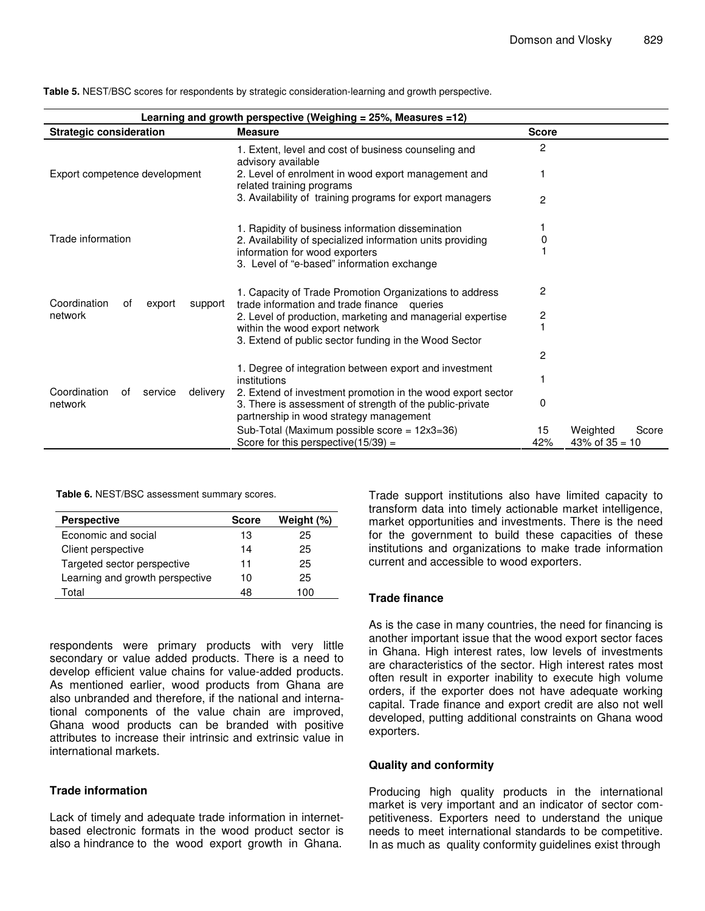| Learning and growth perspective (Weighing = 25%, Measures = 12) |                                                                                                                         |                                       |                  |       |
|-----------------------------------------------------------------|-------------------------------------------------------------------------------------------------------------------------|---------------------------------------|------------------|-------|
| <b>Strategic consideration</b>                                  | <b>Measure</b>                                                                                                          | <b>Score</b>                          |                  |       |
|                                                                 | 1. Extent, level and cost of business counseling and<br>advisory available                                              | 2                                     |                  |       |
| Export competence development                                   | 2. Level of enrolment in wood export management and<br>related training programs                                        |                                       |                  |       |
|                                                                 | 3. Availability of training programs for export managers                                                                | $\overline{c}$                        |                  |       |
|                                                                 | 1. Rapidity of business information dissemination                                                                       |                                       |                  |       |
| Trade information                                               | 2. Availability of specialized information units providing                                                              | 0                                     |                  |       |
|                                                                 | information for wood exporters                                                                                          |                                       |                  |       |
|                                                                 | 3. Level of "e-based" information exchange                                                                              |                                       |                  |       |
| Coordination<br>support<br>οf<br>export                         | 1. Capacity of Trade Promotion Organizations to address<br>trade information and trade finance queries                  | 2                                     |                  |       |
| network                                                         | 2. Level of production, marketing and managerial expertise                                                              | $\begin{array}{c} 2 \\ 1 \end{array}$ |                  |       |
|                                                                 | within the wood export network                                                                                          |                                       |                  |       |
|                                                                 | 3. Extend of public sector funding in the Wood Sector                                                                   |                                       |                  |       |
|                                                                 |                                                                                                                         | 2                                     |                  |       |
|                                                                 | 1. Degree of integration between export and investment<br>institutions                                                  |                                       |                  |       |
| Coordination<br>of<br>service<br>delivery<br>network            | 2. Extend of investment promotion in the wood export sector<br>3. There is assessment of strength of the public-private | $\Omega$                              |                  |       |
|                                                                 | partnership in wood strategy management                                                                                 |                                       |                  |       |
|                                                                 | Sub-Total (Maximum possible score = 12x3=36)                                                                            | 15                                    | Weighted         | Score |
|                                                                 | Score for this perspective $(15/39)$ =                                                                                  | 42%                                   | 43% of $35 = 10$ |       |

**Table 5.** NEST/BSC scores for respondents by strategic consideration-learning and growth perspective.

**Table 6.** NEST/BSC assessment summary scores.

| <b>Perspective</b>              | <b>Score</b> | Weight (%) |
|---------------------------------|--------------|------------|
| Economic and social             | 13           | 25         |
| Client perspective              | 14           | 25         |
| Targeted sector perspective     | 11           | 25         |
| Learning and growth perspective | 10           | 25         |
| Total                           | 48           | 100        |

respondents were primary products with very little secondary or value added products. There is a need to develop efficient value chains for value-added products. As mentioned earlier, wood products from Ghana are also unbranded and therefore, if the national and international components of the value chain are improved, Ghana wood products can be branded with positive attributes to increase their intrinsic and extrinsic value in international markets.

# **Trade information**

Lack of timely and adequate trade information in internetbased electronic formats in the wood product sector is also a hindrance to the wood export growth in Ghana.

Trade support institutions also have limited capacity to transform data into timely actionable market intelligence, market opportunities and investments. There is the need for the government to build these capacities of these institutions and organizations to make trade information current and accessible to wood exporters.

#### **Trade finance**

As is the case in many countries, the need for financing is another important issue that the wood export sector faces in Ghana. High interest rates, low levels of investments are characteristics of the sector. High interest rates most often result in exporter inability to execute high volume orders, if the exporter does not have adequate working capital. Trade finance and export credit are also not well developed, putting additional constraints on Ghana wood exporters.

#### **Quality and conformity**

Producing high quality products in the international market is very important and an indicator of sector competitiveness. Exporters need to understand the unique needs to meet international standards to be competitive. In as much as quality conformity guidelines exist through